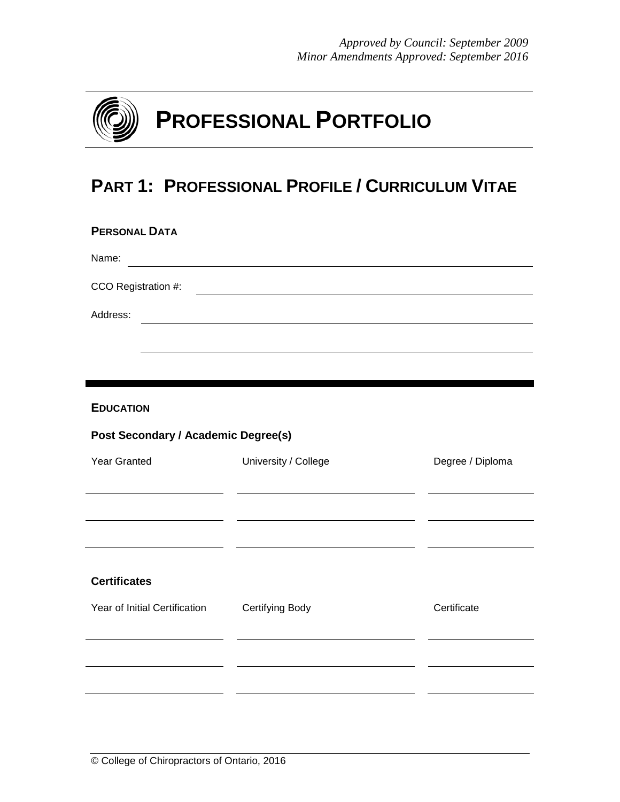

# **PART 1: PROFESSIONAL PROFILE / CURRICULUM VITAE**

| <b>PERSONAL DATA</b>                       |                        |                  |
|--------------------------------------------|------------------------|------------------|
| Name:                                      |                        |                  |
| CCO Registration #:                        |                        |                  |
| Address:                                   |                        |                  |
|                                            |                        |                  |
|                                            |                        |                  |
| <b>EDUCATION</b>                           |                        |                  |
| <b>Post Secondary / Academic Degree(s)</b> |                        |                  |
| Year Granted                               | University / College   | Degree / Diploma |
|                                            |                        |                  |
| $\overline{\phantom{a}}$                   |                        |                  |
|                                            |                        |                  |
| <b>Certificates</b>                        |                        |                  |
| Year of Initial Certification              | <b>Certifying Body</b> | Certificate      |
|                                            |                        |                  |
|                                            |                        |                  |
|                                            |                        |                  |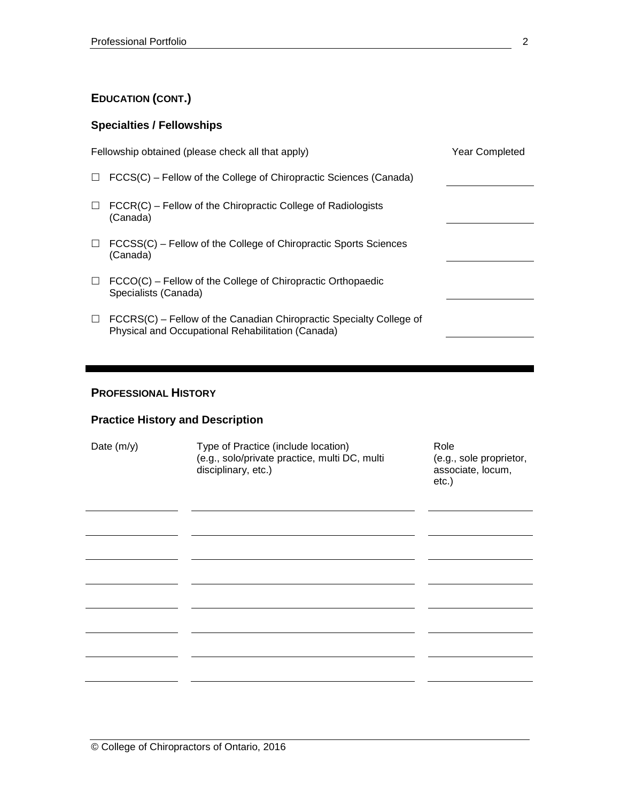### **EDUCATION (CONT.)**

#### **Specialties / Fellowships**

|        | Fellowship obtained (please check all that apply)                                                                        | <b>Year Completed</b> |
|--------|--------------------------------------------------------------------------------------------------------------------------|-----------------------|
| $\Box$ | FCCS(C) – Fellow of the College of Chiropractic Sciences (Canada)                                                        |                       |
| $\Box$ | $FCCR(C)$ – Fellow of the Chiropractic College of Radiologists<br>(Canada)                                               |                       |
| $\Box$ | FCCSS(C) – Fellow of the College of Chiropractic Sports Sciences<br>(Canada)                                             |                       |
| $\Box$ | $FCCO(C)$ – Fellow of the College of Chiropractic Orthopaedic<br>Specialists (Canada)                                    |                       |
| $\Box$ | FCCRS(C) – Fellow of the Canadian Chiropractic Specialty College of<br>Physical and Occupational Rehabilitation (Canada) |                       |
|        |                                                                                                                          |                       |

#### **PROFESSIONAL HISTORY**

#### **Practice History and Description**

| Date $(m/y)$ | Type of Practice (include location)<br>(e.g., solo/private practice, multi DC, multi<br>disciplinary, etc.) | Role<br>(e.g., sole proprietor,<br>associate, locum,<br>$etc.$ ) |
|--------------|-------------------------------------------------------------------------------------------------------------|------------------------------------------------------------------|
|              |                                                                                                             |                                                                  |
|              |                                                                                                             |                                                                  |
|              |                                                                                                             |                                                                  |
|              |                                                                                                             |                                                                  |
|              |                                                                                                             |                                                                  |
|              |                                                                                                             |                                                                  |
|              |                                                                                                             |                                                                  |
|              |                                                                                                             |                                                                  |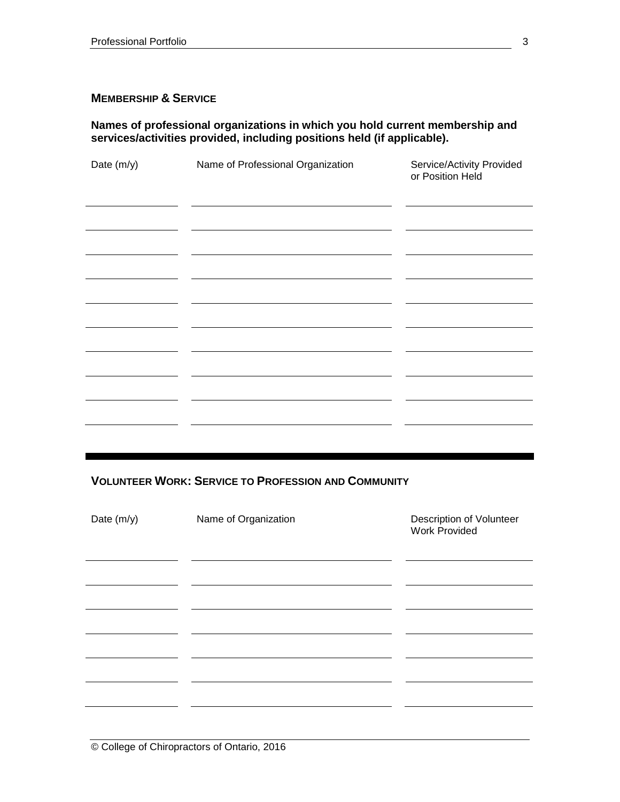#### **MEMBERSHIP & SERVICE**

#### **Names of professional organizations in which you hold current membership and services/activities provided, including positions held (if applicable).**

| Date (m/y) | Name of Professional Organization | Service/Activity Provided<br>or Position Held |
|------------|-----------------------------------|-----------------------------------------------|
|            |                                   |                                               |
|            |                                   |                                               |
|            |                                   |                                               |
|            |                                   |                                               |
|            |                                   |                                               |
|            |                                   |                                               |
|            |                                   |                                               |
|            |                                   |                                               |
|            |                                   |                                               |
|            |                                   |                                               |

**VOLUNTEER WORK: SERVICE TO PROFESSION AND COMMUNITY**

| Date (m/y) | Name of Organization | Description of Volunteer<br><b>Work Provided</b> |
|------------|----------------------|--------------------------------------------------|
|            |                      |                                                  |
|            |                      |                                                  |
|            |                      |                                                  |
|            |                      |                                                  |
|            |                      |                                                  |
|            |                      |                                                  |
|            |                      |                                                  |

© College of Chiropractors of Ontario, 2016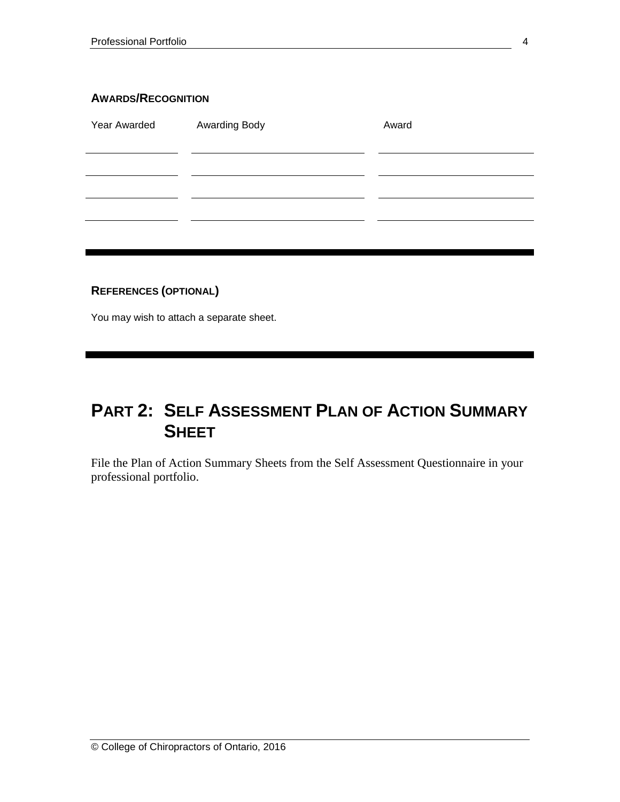#### **AWARDS/RECOGNITION**

| Year Awarded | Awarding Body | Award |
|--------------|---------------|-------|
|              |               |       |
|              |               |       |
|              |               |       |
|              |               |       |
|              |               |       |

#### **REFERENCES (OPTIONAL)**

You may wish to attach a separate sheet.

## **PART 2: SELF ASSESSMENT PLAN OF ACTION SUMMARY SHEET**

File the Plan of Action Summary Sheets from the Self Assessment Questionnaire in your professional portfolio.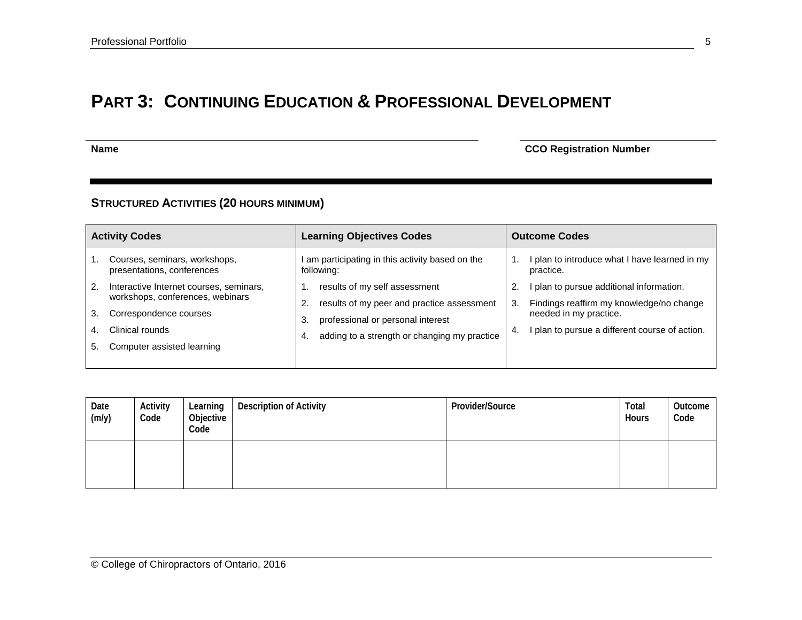## **PART 3: CONTINUING EDUCATION & PROFESSIONAL DEVELOPMENT**

**Name** CCO Registration Number

#### **STRUCTURED ACTIVITIES (20 HOURS MINIMUM)**

|                      | <b>Activity Codes</b>                                                                                                                                  | <b>Learning Objectives Codes</b>                                                                                                                                             |           | <b>Outcome Codes</b>                                                                                                                                             |  |  |  |
|----------------------|--------------------------------------------------------------------------------------------------------------------------------------------------------|------------------------------------------------------------------------------------------------------------------------------------------------------------------------------|-----------|------------------------------------------------------------------------------------------------------------------------------------------------------------------|--|--|--|
|                      | Courses, seminars, workshops,<br>presentations, conferences                                                                                            | am participating in this activity based on the<br>following:                                                                                                                 |           | I plan to introduce what I have learned in my<br>practice.                                                                                                       |  |  |  |
| 2.<br>3.<br>4.<br>5. | Interactive Internet courses, seminars,<br>workshops, conferences, webinars<br>Correspondence courses<br>Clinical rounds<br>Computer assisted learning | results of my self assessment<br>results of my peer and practice assessment<br>professional or personal interest<br>3.<br>adding to a strength or changing my practice<br>4. | 3.<br>-4. | I plan to pursue additional information.<br>Findings reaffirm my knowledge/no change<br>needed in my practice.<br>I plan to pursue a different course of action. |  |  |  |

| Date<br>(m/y) | Activity<br>Code | Learning<br>Objective<br>Code | <b>Description of Activity</b> | Provider/Source | Total<br>Hours | Outcome<br>Code |
|---------------|------------------|-------------------------------|--------------------------------|-----------------|----------------|-----------------|
|               |                  |                               |                                |                 |                |                 |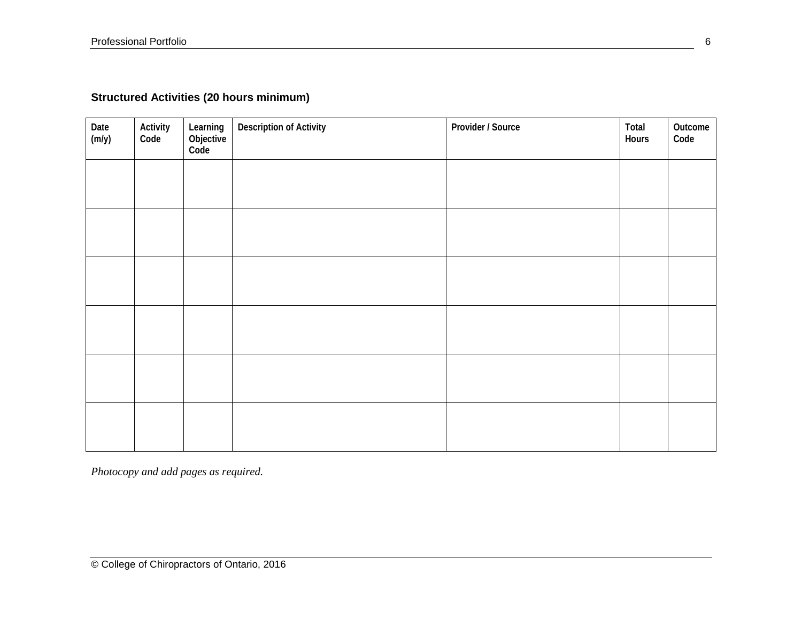### **Structured Activities (20 hours minimum)**

| Date<br>$(m/y)$ | Activity<br>Code | Learning<br>Objective<br>Code | <b>Description of Activity</b> | Provider / Source | Total<br>Hours | Outcome<br>Code |
|-----------------|------------------|-------------------------------|--------------------------------|-------------------|----------------|-----------------|
|                 |                  |                               |                                |                   |                |                 |
|                 |                  |                               |                                |                   |                |                 |
|                 |                  |                               |                                |                   |                |                 |
|                 |                  |                               |                                |                   |                |                 |
|                 |                  |                               |                                |                   |                |                 |
|                 |                  |                               |                                |                   |                |                 |

*Photocopy and add pages as required.*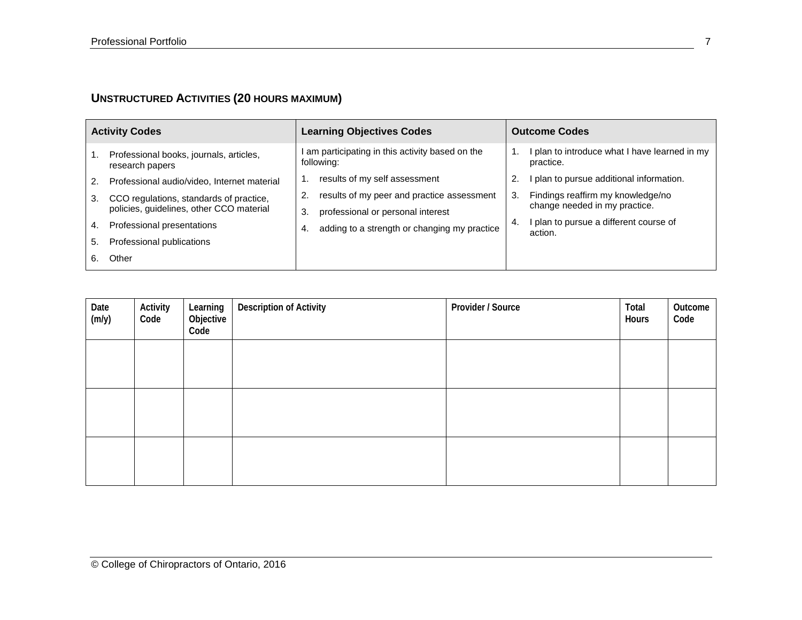### **UNSTRUCTURED ACTIVITIES (20 HOURS MAXIMUM)**

| <b>Activity Codes</b> |                                                                                     | <b>Learning Objectives Codes</b>                                                            |    | <b>Outcome Codes</b>                                               |  |  |
|-----------------------|-------------------------------------------------------------------------------------|---------------------------------------------------------------------------------------------|----|--------------------------------------------------------------------|--|--|
|                       | Professional books, journals, articles,<br>research papers                          | am participating in this activity based on the<br>following:                                |    | I plan to introduce what I have learned in my<br>practice.         |  |  |
| 2.                    | Professional audio/video, Internet material                                         | results of my self assessment                                                               |    | I plan to pursue additional information.                           |  |  |
| 3.                    | CCO regulations, standards of practice,<br>policies, guidelines, other CCO material | results of my peer and practice assessment<br>2.<br>professional or personal interest<br>3. | 3. | Findings reaffirm my knowledge/no<br>change needed in my practice. |  |  |
| 4.                    | Professional presentations                                                          | adding to a strength or changing my practice<br>4.                                          | 4. | I plan to pursue a different course of<br>action.                  |  |  |
| 5.                    | Professional publications                                                           |                                                                                             |    |                                                                    |  |  |
|                       | Other                                                                               |                                                                                             |    |                                                                    |  |  |

| Date<br>(m/y) | Activity<br>Code | Learning<br>Objective<br>Code | <b>Description of Activity</b> | Provider / Source | Total<br>Hours | Outcome<br>Code |
|---------------|------------------|-------------------------------|--------------------------------|-------------------|----------------|-----------------|
|               |                  |                               |                                |                   |                |                 |
|               |                  |                               |                                |                   |                |                 |
|               |                  |                               |                                |                   |                |                 |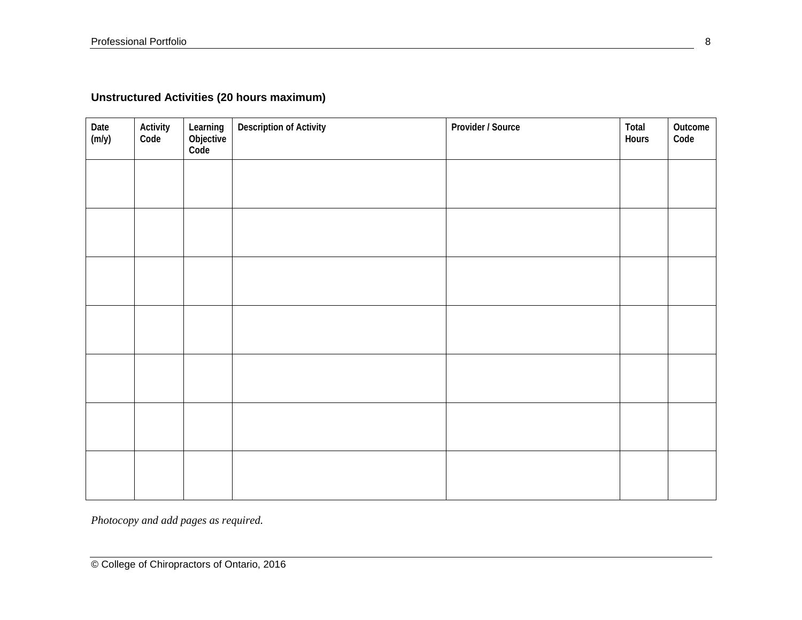### **Unstructured Activities (20 hours maximum)**

| Date<br>(m/y) | Activity<br>Code | Learning<br>Objective<br>Code | <b>Description of Activity</b> | Provider / Source | Total<br>Hours | Outcome<br>Code |
|---------------|------------------|-------------------------------|--------------------------------|-------------------|----------------|-----------------|
|               |                  |                               |                                |                   |                |                 |
|               |                  |                               |                                |                   |                |                 |
|               |                  |                               |                                |                   |                |                 |
|               |                  |                               |                                |                   |                |                 |
|               |                  |                               |                                |                   |                |                 |
|               |                  |                               |                                |                   |                |                 |
|               |                  |                               |                                |                   |                |                 |
|               |                  |                               |                                |                   |                |                 |

*Photocopy and add pages as required.*